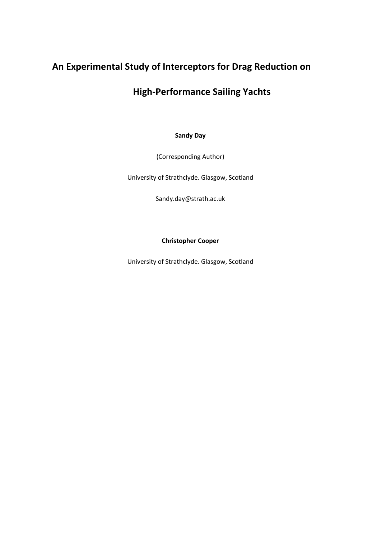# **An Experimental Study of Interceptors for Drag Reduction on**

# **High-Performance Sailing Yachts**

**Sandy Day**

(Corresponding Author)

University of Strathclyde. Glasgow, Scotland

Sandy.day@strath.ac.uk

**Christopher Cooper**

University of Strathclyde. Glasgow, Scotland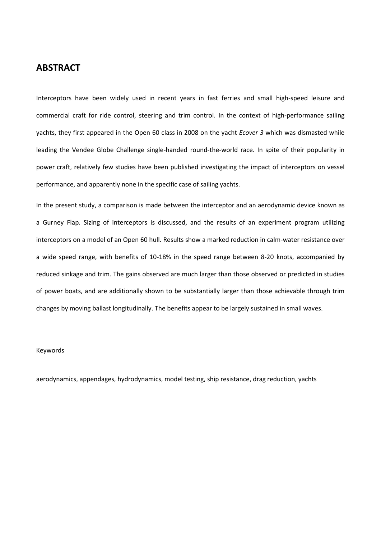## **ABSTRACT**

Interceptors have been widely used in recent years in fast ferries and small high-speed leisure and commercial craft for ride control, steering and trim control. In the context of high-performance sailing yachts, they first appeared in the Open 60 class in 2008 on the yacht *Ecover 3* which was dismasted while leading the Vendee Globe Challenge single-handed round-the-world race. In spite of their popularity in power craft, relatively few studies have been published investigating the impact of interceptors on vessel performance, and apparently none in the specific case of sailing yachts.

In the present study, a comparison is made between the interceptor and an aerodynamic device known as a Gurney Flap. Sizing of interceptors is discussed, and the results of an experiment program utilizing interceptors on a model of an Open 60 hull. Results show a marked reduction in calm-water resistance over a wide speed range, with benefits of 10-18% in the speed range between 8-20 knots, accompanied by reduced sinkage and trim. The gains observed are much larger than those observed or predicted in studies of power boats, and are additionally shown to be substantially larger than those achievable through trim changes by moving ballast longitudinally. The benefits appear to be largely sustained in small waves.

## Keywords

aerodynamics, appendages, hydrodynamics, model testing, ship resistance, drag reduction, yachts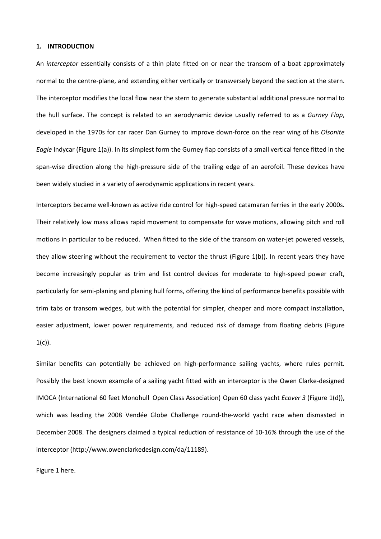## **1. INTRODUCTION**

An *interceptor* essentially consists of a thin plate fitted on or near the transom of a boat approximately normal to the centre-plane, and extending either vertically or transversely beyond the section at the stern. The interceptor modifies the local flow near the stern to generate substantial additional pressure normal to the hull surface. The concept is related to an aerodynamic device usually referred to as a *Gurney Flap*, developed in the 1970s for car racer Dan Gurney to improve down-force on the rear wing of his *Olsonite Eagle* Indycar [\(Figure 1\(](#page-21-0)a)). In its simplest form the Gurney flap consists of a small vertical fence fitted in the span-wise direction along the high-pressure side of the trailing edge of an aerofoil. These devices have been widely studied in a variety of aerodynamic applications in recent years.

Interceptors became well-known as active ride control for high-speed catamaran ferries in the early 2000s. Their relatively low mass allows rapid movement to compensate for wave motions, allowing pitch and roll motions in particular to be reduced. When fitted to the side of the transom on water-jet powered vessels, they allow steering without the requirement to vector the thrust [\(Figure 1\(](#page-21-0)b)). In recent years they have become increasingly popular as trim and list control devices for moderate to high-speed power craft, particularly for semi-planing and planing hull forms, offering the kind of performance benefits possible with trim tabs or transom wedges, but with the potential for simpler, cheaper and more compact installation, easier adjustment, lower power requirements, and reduced risk of damage from floating debris [\(Figure](#page-21-0)   $1(c)$  $1(c)$ ).

Similar benefits can potentially be achieved on high-performance sailing yachts, where rules permit. Possibly the best known example of a sailing yacht fitted with an interceptor is the Owen Clarke-designed IMOCA (International 60 feet Monohull Open Class Association) Open 60 class yacht *Ecover 3* [\(Figure 1\(](#page-21-0)d)), which was leading the 2008 Vendée Globe Challenge round-the-world yacht race when dismasted in December 2008. The designers claimed a typical reduction of resistance of 10-16% through the use of the interceptor (http://www.owenclarkedesign.com/da/11189).

Figure 1 here.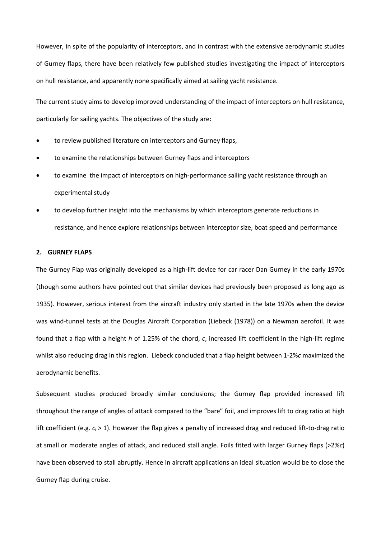However, in spite of the popularity of interceptors, and in contrast with the extensive aerodynamic studies of Gurney flaps, there have been relatively few published studies investigating the impact of interceptors on hull resistance, and apparently none specifically aimed at sailing yacht resistance.

The current study aims to develop improved understanding of the impact of interceptors on hull resistance, particularly for sailing yachts. The objectives of the study are:

- to review published literature on interceptors and Gurney flaps,
- to examine the relationships between Gurney flaps and interceptors
- to examine the impact of interceptors on high-performance sailing yacht resistance through an experimental study
- to develop further insight into the mechanisms by which interceptors generate reductions in resistance, and hence explore relationships between interceptor size, boat speed and performance

### **2. GURNEY FLAPS**

The Gurney Flap was originally developed as a high-lift device for car racer Dan Gurney in the early 1970s (though some authors have pointed out that similar devices had previously been proposed as long ago as 1935). However, serious interest from the aircraft industry only started in the late 1970s when the device was wind-tunnel tests at the Douglas Aircraft Corporation (Liebeck (1978)) on a Newman aerofoil. It was found that a flap with a height *h* of 1.25% of the chord, *c*, increased lift coefficient in the high-lift regime whilst also reducing drag in this region. Liebeck concluded that a flap height between 1-2%*c* maximized the aerodynamic benefits.

Subsequent studies produced broadly similar conclusions; the Gurney flap provided increased lift throughout the range of angles of attack compared to the "bare" foil, and improves lift to drag ratio at high lift coefficient (e.g.  $c_i > 1$ ). However the flap gives a penalty of increased drag and reduced lift-to-drag ratio at small or moderate angles of attack, and reduced stall angle. Foils fitted with larger Gurney flaps (>2%*c*) have been observed to stall abruptly. Hence in aircraft applications an ideal situation would be to close the Gurney flap during cruise.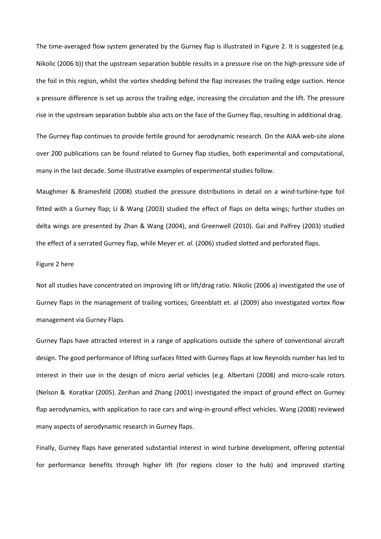The time-averaged flow system generated by the Gurney flap is illustrated in [Figure 2.](#page-22-0) It is suggested (e.g. Nikolic (2006 b)) that the upstream separation bubble results in a pressure rise on the high-pressure side of the foil in this region, whilst the vortex shedding behind the flap increases the trailing edge suction. Hence a pressure difference is set up across the trailing edge, increasing the circulation and the lift. The pressure rise in the upstream separation bubble also acts on the face of the Gurney flap, resulting in additional drag.

The Gurney flap continues to provide fertile ground for aerodynamic research. On the AIAA web-site alone over 200 publications can be found related to Gurney flap studies, both experimental and computational, many in the last decade. Some illustrative examples of experimental studies follow.

Maughmer & Bramesfeld (2008) studied the pressure distributions in detail on a wind-turbine-type foil fitted with a Gurney flap; Li & Wang (2003) studied the effect of flaps on delta wings; further studies on delta wings are presented by Zhan & Wang (2004), and Greenwell (2010). Gai and Palfrey (2003) studied the effect of a serrated Gurney flap, while Meyer *et. al.* (2006) studied slotted and perforated flaps.

#### Figure 2 here

Not all studies have concentrated on improving lift or lift/drag ratio. Nikolic (2006 a) investigated the use of Gurney flaps in the management of trailing vortices; Greenblatt et. al (2009) also investigated vortex flow management via Gurney Flaps.

Gurney flaps have attracted interest in a range of applications outside the sphere of conventional aircraft design. The good performance of lifting surfaces fitted with Gurney flaps at low Reynolds number has led to interest in their use in the design of micro aerial vehicles (e.g. Albertani (2008) and micro-scale rotors (Nelson & Koratkar (2005). Zerihan and Zhang (2001) investigated the impact of ground effect on Gurney flap aerodynamics, with application to race cars and wing-in-ground effect vehicles. Wang (2008) reviewed many aspects of aerodynamic research in Gurney flaps.

Finally, Gurney flaps have generated substantial interest in wind turbine development, offering potential for performance benefits through higher lift (for regions closer to the hub) and improved starting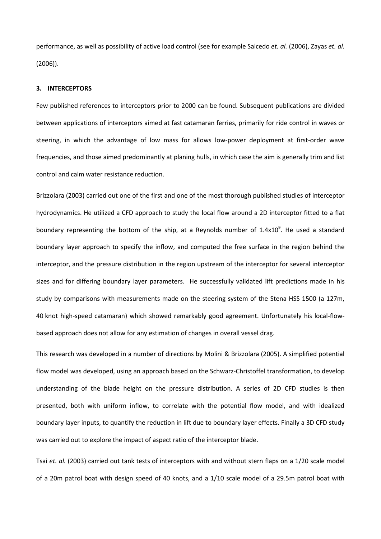performance, as well as possibility of active load control (see for example Salcedo *et. al.* (2006), Zayas *et. al.* (2006)).

## **3. INTERCEPTORS**

Few published references to interceptors prior to 2000 can be found. Subsequent publications are divided between applications of interceptors aimed at fast catamaran ferries, primarily for ride control in waves or steering, in which the advantage of low mass for allows low-power deployment at first-order wave frequencies, and those aimed predominantly at planing hulls, in which case the aim is generally trim and list control and calm water resistance reduction.

Brizzolara (2003) carried out one of the first and one of the most thorough published studies of interceptor hydrodynamics. He utilized a CFD approach to study the local flow around a 2D interceptor fitted to a flat boundary representing the bottom of the ship, at a Reynolds number of  $1.4 \times 10^9$ . He used a standard boundary layer approach to specify the inflow, and computed the free surface in the region behind the interceptor, and the pressure distribution in the region upstream of the interceptor for several interceptor sizes and for differing boundary layer parameters. He successfully validated lift predictions made in his study by comparisons with measurements made on the steering system of the Stena HSS 1500 (a 127m, 40 knot high-speed catamaran) which showed remarkably good agreement. Unfortunately his local-flowbased approach does not allow for any estimation of changes in overall vessel drag.

This research was developed in a number of directions by Molini & Brizzolara (2005). A simplified potential flow model was developed, using an approach based on the Schwarz-Christoffel transformation, to develop understanding of the blade height on the pressure distribution. A series of 2D CFD studies is then presented, both with uniform inflow, to correlate with the potential flow model, and with idealized boundary layer inputs, to quantify the reduction in lift due to boundary layer effects. Finally a 3D CFD study was carried out to explore the impact of aspect ratio of the interceptor blade.

Tsai *et. al.* (2003) carried out tank tests of interceptors with and without stern flaps on a 1/20 scale model of a 20m patrol boat with design speed of 40 knots, and a 1/10 scale model of a 29.5m patrol boat with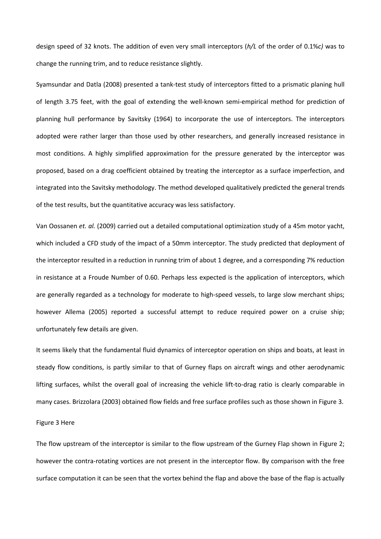design speed of 32 knots. The addition of even very small interceptors (*h/L* of the order of 0.1%*c)* was to change the running trim, and to reduce resistance slightly.

Syamsundar and Datla (2008) presented a tank-test study of interceptors fitted to a prismatic planing hull of length 3.75 feet, with the goal of extending the well-known semi-empirical method for prediction of planning hull performance by Savitsky (1964) to incorporate the use of interceptors. The interceptors adopted were rather larger than those used by other researchers, and generally increased resistance in most conditions. A highly simplified approximation for the pressure generated by the interceptor was proposed, based on a drag coefficient obtained by treating the interceptor as a surface imperfection, and integrated into the Savitsky methodology. The method developed qualitatively predicted the general trends of the test results, but the quantitative accuracy was less satisfactory.

Van Oossanen *et. al.* (2009) carried out a detailed computational optimization study of a 45m motor yacht, which included a CFD study of the impact of a 50mm interceptor. The study predicted that deployment of the interceptor resulted in a reduction in running trim of about 1 degree, and a corresponding 7% reduction in resistance at a Froude Number of 0.60. Perhaps less expected is the application of interceptors, which are generally regarded as a technology for moderate to high-speed vessels, to large slow merchant ships; however Allema (2005) reported a successful attempt to reduce required power on a cruise ship; unfortunately few details are given.

It seems likely that the fundamental fluid dynamics of interceptor operation on ships and boats, at least in steady flow conditions, is partly similar to that of Gurney flaps on aircraft wings and other aerodynamic lifting surfaces, whilst the overall goal of increasing the vehicle lift-to-drag ratio is clearly comparable in many cases. Brizzolara (2003) obtained flow fields and free surface profiles such as those shown in [Figure 3.](#page-23-0)

## Figure 3 Here

The flow upstream of the interceptor is similar to the flow upstream of the Gurney Flap shown in [Figure 2;](#page-22-0) however the contra-rotating vortices are not present in the interceptor flow. By comparison with the free surface computation it can be seen that the vortex behind the flap and above the base of the flap is actually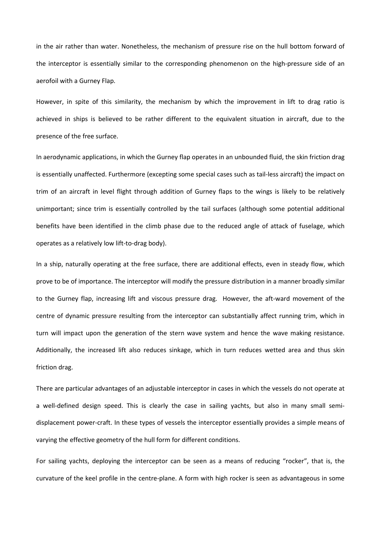in the air rather than water. Nonetheless, the mechanism of pressure rise on the hull bottom forward of the interceptor is essentially similar to the corresponding phenomenon on the high-pressure side of an aerofoil with a Gurney Flap.

However, in spite of this similarity, the mechanism by which the improvement in lift to drag ratio is achieved in ships is believed to be rather different to the equivalent situation in aircraft, due to the presence of the free surface.

In aerodynamic applications, in which the Gurney flap operates in an unbounded fluid, the skin friction drag is essentially unaffected. Furthermore (excepting some special cases such as tail-less aircraft) the impact on trim of an aircraft in level flight through addition of Gurney flaps to the wings is likely to be relatively unimportant; since trim is essentially controlled by the tail surfaces (although some potential additional benefits have been identified in the climb phase due to the reduced angle of attack of fuselage, which operates as a relatively low lift-to-drag body).

In a ship, naturally operating at the free surface, there are additional effects, even in steady flow, which prove to be of importance. The interceptor will modify the pressure distribution in a manner broadly similar to the Gurney flap, increasing lift and viscous pressure drag. However, the aft-ward movement of the centre of dynamic pressure resulting from the interceptor can substantially affect running trim, which in turn will impact upon the generation of the stern wave system and hence the wave making resistance. Additionally, the increased lift also reduces sinkage, which in turn reduces wetted area and thus skin friction drag.

There are particular advantages of an adjustable interceptor in cases in which the vessels do not operate at a well-defined design speed. This is clearly the case in sailing yachts, but also in many small semidisplacement power-craft. In these types of vessels the interceptor essentially provides a simple means of varying the effective geometry of the hull form for different conditions.

For sailing yachts, deploying the interceptor can be seen as a means of reducing "rocker", that is, the curvature of the keel profile in the centre-plane. A form with high rocker is seen as advantageous in some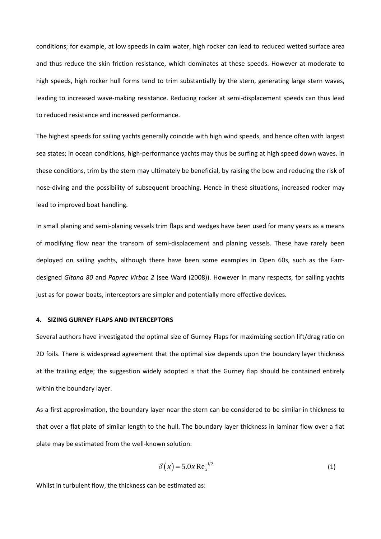conditions; for example, at low speeds in calm water, high rocker can lead to reduced wetted surface area and thus reduce the skin friction resistance, which dominates at these speeds. However at moderate to high speeds, high rocker hull forms tend to trim substantially by the stern, generating large stern waves, leading to increased wave-making resistance. Reducing rocker at semi-displacement speeds can thus lead to reduced resistance and increased performance.

The highest speeds for sailing yachts generally coincide with high wind speeds, and hence often with largest sea states; in ocean conditions, high-performance yachts may thus be surfing at high speed down waves. In these conditions, trim by the stern may ultimately be beneficial, by raising the bow and reducing the risk of nose-diving and the possibility of subsequent broaching. Hence in these situations, increased rocker may lead to improved boat handling.

In small planing and semi-planing vessels trim flaps and wedges have been used for many years as a means of modifying flow near the transom of semi-displacement and planing vessels. These have rarely been deployed on sailing yachts, although there have been some examples in Open 60s, such as the Farrdesigned *Gitana 80* and *Paprec Virbac 2* (see Ward (2008)). However in many respects, for sailing yachts just as for power boats, interceptors are simpler and potentially more effective devices.

## **4. SIZING GURNEY FLAPS AND INTERCEPTORS**

Several authors have investigated the optimal size of Gurney Flaps for maximizing section lift/drag ratio on 2D foils. There is widespread agreement that the optimal size depends upon the boundary layer thickness at the trailing edge; the suggestion widely adopted is that the Gurney flap should be contained entirely within the boundary layer.

As a first approximation, the boundary layer near the stern can be considered to be similar in thickness to that over a flat plate of similar length to the hull. The boundary layer thickness in laminar flow over a flat plate may be estimated from the well-known solution:

$$
\delta(x) = 5.0x \operatorname{Re}_x^{-1/2} \tag{1}
$$

Whilst in turbulent flow, the thickness can be estimated as: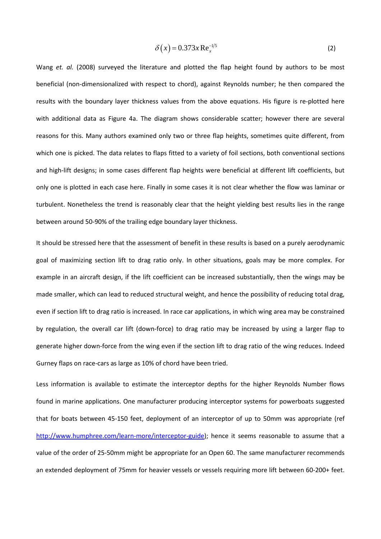$$
\delta(x) = 0.373x \operatorname{Re}^{-1/5}_x
$$
 (2)

Wang *et. al.* (2008) surveyed the literature and plotted the flap height found by authors to be most beneficial (non-dimensionalized with respect to chord), against Reynolds number; he then compared the results with the boundary layer thickness values from the above equations. His figure is re-plotted here with additional data as [Figure 4a](#page-24-0). The diagram shows considerable scatter; however there are several reasons for this. Many authors examined only two or three flap heights, sometimes quite different, from which one is picked. The data relates to flaps fitted to a variety of foil sections, both conventional sections and high-lift designs; in some cases different flap heights were beneficial at different lift coefficients, but only one is plotted in each case here. Finally in some cases it is not clear whether the flow was laminar or turbulent. Nonetheless the trend is reasonably clear that the height yielding best results lies in the range between around 50-90% of the trailing edge boundary layer thickness.

It should be stressed here that the assessment of benefit in these results is based on a purely aerodynamic goal of maximizing section lift to drag ratio only. In other situations, goals may be more complex. For example in an aircraft design, if the lift coefficient can be increased substantially, then the wings may be made smaller, which can lead to reduced structural weight, and hence the possibility of reducing total drag, even if section lift to drag ratio is increased. In race car applications, in which wing area may be constrained by regulation, the overall car lift (down-force) to drag ratio may be increased by using a larger flap to generate higher down-force from the wing even if the section lift to drag ratio of the wing reduces. Indeed Gurney flaps on race-cars as large as 10% of chord have been tried.

Less information is available to estimate the interceptor depths for the higher Reynolds Number flows found in marine applications. One manufacturer producing interceptor systems for powerboats suggested that for boats between 45-150 feet, deployment of an interceptor of up to 50mm was appropriate (ref [http://www.humphree.com/learn-more/interceptor-guide\)](http://www.humphree.com/learn-more/interceptor-guide); hence it seems reasonable to assume that a value of the order of 25-50mm might be appropriate for an Open 60. The same manufacturer recommends an extended deployment of 75mm for heavier vessels or vessels requiring more lift between 60-200+ feet.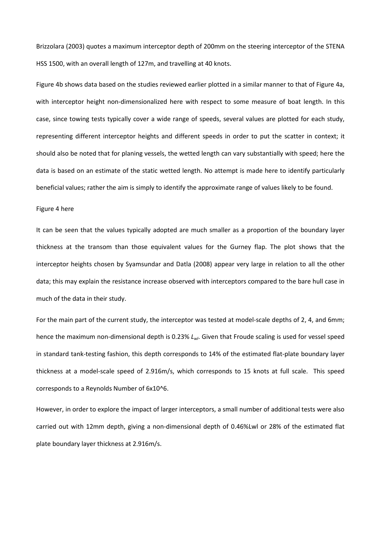Brizzolara (2003) quotes a maximum interceptor depth of 200mm on the steering interceptor of the STENA HSS 1500, with an overall length of 127m, and travelling at 40 knots.

[Figure 4b](#page-24-0) shows data based on the studies reviewed earlier plotted in a similar manner to that of [Figure 4a](#page-24-0), with interceptor height non-dimensionalized here with respect to some measure of boat length. In this case, since towing tests typically cover a wide range of speeds, several values are plotted for each study, representing different interceptor heights and different speeds in order to put the scatter in context; it should also be noted that for planing vessels, the wetted length can vary substantially with speed; here the data is based on an estimate of the static wetted length. No attempt is made here to identify particularly beneficial values; rather the aim is simply to identify the approximate range of values likely to be found.

## Figure 4 here

It can be seen that the values typically adopted are much smaller as a proportion of the boundary layer thickness at the transom than those equivalent values for the Gurney flap. The plot shows that the interceptor heights chosen by Syamsundar and Datla (2008) appear very large in relation to all the other data; this may explain the resistance increase observed with interceptors compared to the bare hull case in much of the data in their study.

For the main part of the current study, the interceptor was tested at model-scale depths of 2, 4, and 6mm; hence the maximum non-dimensional depth is 0.23% *Lwl*. Given that Froude scaling is used for vessel speed in standard tank-testing fashion, this depth corresponds to 14% of the estimated flat-plate boundary layer thickness at a model-scale speed of 2.916m/s, which corresponds to 15 knots at full scale. This speed corresponds to a Reynolds Number of 6x10^6.

However, in order to explore the impact of larger interceptors, a small number of additional tests were also carried out with 12mm depth, giving a non-dimensional depth of 0.46%Lwl or 28% of the estimated flat plate boundary layer thickness at 2.916m/s.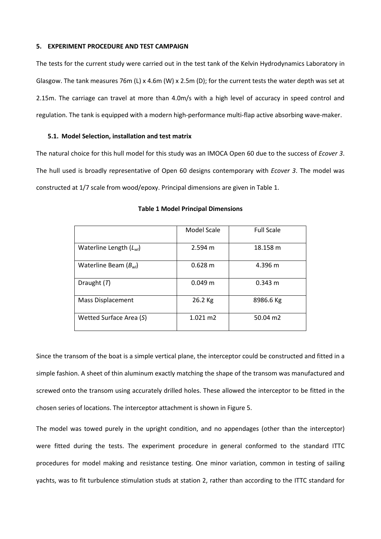## **5. EXPERIMENT PROCEDURE AND TEST CAMPAIGN**

The tests for the current study were carried out in the test tank of the Kelvin Hydrodynamics Laboratory in Glasgow. The tank measures 76m (L) x 4.6m (W) x 2.5m (D); for the current tests the water depth was set at 2.15m. The carriage can travel at more than 4.0m/s with a high level of accuracy in speed control and regulation. The tank is equipped with a modern high-performance multi-flap active absorbing wave-maker.

## **5.1. Model Selection, installation and test matrix**

The natural choice for this hull model for this study was an IMOCA Open 60 due to the success of *Ecover 3*. The hull used is broadly representative of Open 60 designs contemporary with *Ecover 3*. The model was constructed at 1/7 scale from wood/epoxy. Principal dimensions are given in [Table 1.](#page-11-0)

<span id="page-11-0"></span>

|                           | Model Scale        | <b>Full Scale</b> |
|---------------------------|--------------------|-------------------|
| Waterline Length $(L_w)$  | 2.594 m            | 18.158 m          |
| Waterline Beam $(B_{wl})$ | 0.628 m            | 4.396 m           |
| Draught $(T)$             | 0.049 <sub>m</sub> | $0.343 \text{ m}$ |
| Mass Displacement         | 26.2 Kg            | 8986.6 Kg         |
| Wetted Surface Area (S)   | $1.021 \text{ m}$  | 50.04 m2          |

### **Table 1 Model Principal Dimensions**

Since the transom of the boat is a simple vertical plane, the interceptor could be constructed and fitted in a simple fashion. A sheet of thin aluminum exactly matching the shape of the transom was manufactured and screwed onto the transom using accurately drilled holes. These allowed the interceptor to be fitted in the chosen series of locations. The interceptor attachment is shown in [Figure 5.](#page-25-0)

The model was towed purely in the upright condition, and no appendages (other than the interceptor) were fitted during the tests. The experiment procedure in general conformed to the standard ITTC procedures for model making and resistance testing. One minor variation, common in testing of sailing yachts, was to fit turbulence stimulation studs at station 2, rather than according to the ITTC standard for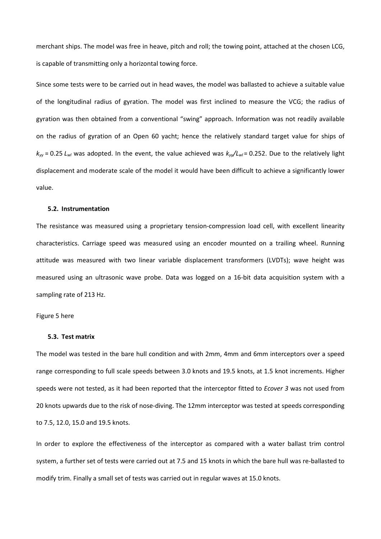merchant ships. The model was free in heave, pitch and roll; the towing point, attached at the chosen LCG, is capable of transmitting only a horizontal towing force.

Since some tests were to be carried out in head waves, the model was ballasted to achieve a suitable value of the longitudinal radius of gyration. The model was first inclined to measure the VCG; the radius of gyration was then obtained from a conventional "swing" approach. Information was not readily available on the radius of gyration of an Open 60 yacht; hence the relatively standard target value for ships of  $k_{vv}$  = 0.25  $L_{wl}$  was adopted. In the event, the value achieved was  $k_{vv}/L_{wl}$  = 0.252. Due to the relatively light displacement and moderate scale of the model it would have been difficult to achieve a significantly lower value.

## **5.2. Instrumentation**

The resistance was measured using a proprietary tension-compression load cell, with excellent linearity characteristics. Carriage speed was measured using an encoder mounted on a trailing wheel. Running attitude was measured with two linear variable displacement transformers (LVDTs); wave height was measured using an ultrasonic wave probe. Data was logged on a 16-bit data acquisition system with a sampling rate of 213 Hz.

Figure 5 here

#### **5.3. Test matrix**

The model was tested in the bare hull condition and with 2mm, 4mm and 6mm interceptors over a speed range corresponding to full scale speeds between 3.0 knots and 19.5 knots, at 1.5 knot increments. Higher speeds were not tested, as it had been reported that the interceptor fitted to *Ecover 3* was not used from 20 knots upwards due to the risk of nose-diving. The 12mm interceptor was tested at speeds corresponding to 7.5, 12.0, 15.0 and 19.5 knots.

In order to explore the effectiveness of the interceptor as compared with a water ballast trim control system, a further set of tests were carried out at 7.5 and 15 knots in which the bare hull was re-ballasted to modify trim. Finally a small set of tests was carried out in regular waves at 15.0 knots.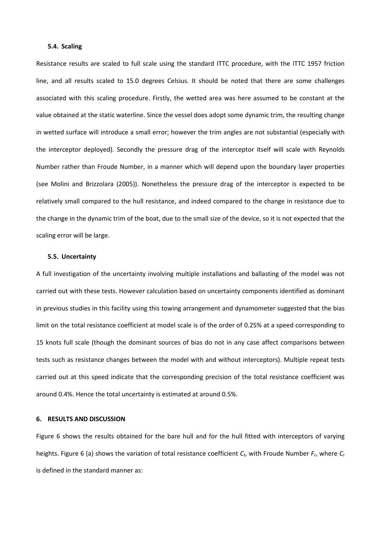## **5.4. Scaling**

Resistance results are scaled to full scale using the standard ITTC procedure, with the ITTC 1957 friction line, and all results scaled to 15.0 degrees Celsius. It should be noted that there are some challenges associated with this scaling procedure. Firstly, the wetted area was here assumed to be constant at the value obtained at the static waterline. Since the vessel does adopt some dynamic trim, the resulting change in wetted surface will introduce a small error; however the trim angles are not substantial (especially with the interceptor deployed). Secondly the pressure drag of the interceptor itself will scale with Reynolds Number rather than Froude Number, in a manner which will depend upon the boundary layer properties (see Molini and Brizzolara (2005)). Nonetheless the pressure drag of the interceptor is expected to be relatively small compared to the hull resistance, and indeed compared to the change in resistance due to the change in the dynamic trim of the boat, due to the small size of the device, so it is not expected that the scaling error will be large.

## **5.5. Uncertainty**

A full investigation of the uncertainty involving multiple installations and ballasting of the model was not carried out with these tests. However calculation based on uncertainty components identified as dominant in previous studies in this facility using this towing arrangement and dynamometer suggested that the bias limit on the total resistance coefficient at model scale is of the order of 0.25% at a speed corresponding to 15 knots full scale (though the dominant sources of bias do not in any case affect comparisons between tests such as resistance changes between the model with and without interceptors). Multiple repeat tests carried out at this speed indicate that the corresponding precision of the total resistance coefficient was around 0.4%. Hence the total uncertainty is estimated at around 0.5%.

## **6. RESULTS AND DISCUSSION**

[Figure 6](#page-26-0) shows the results obtained for the bare hull and for the hull fitted with interceptors of varying heights. [Figure 6](#page-26-0) (a) shows the variation of total resistance coefficient  $C_t$ , with Froude Number  $F_t$ , where  $C_t$ is defined in the standard manner as: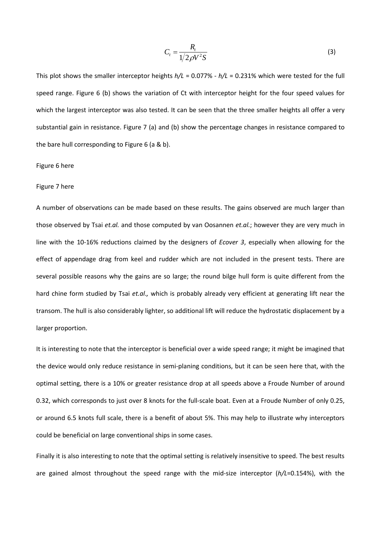$$
C_t = \frac{R_t}{1/2\rho V^2 S}
$$
 (3)

This plot shows the smaller interceptor heights *h/L* = 0.077% - *h/L* = 0.231% which were tested for the full speed range. [Figure 6](#page-26-0) (b) shows the variation of Ct with interceptor height for the four speed values for which the largest interceptor was also tested. It can be seen that the three smaller heights all offer a very substantial gain in resistance. [Figure 7](#page-27-0) (a) and (b) show the percentage changes in resistance compared to the bare hull corresponding to [Figure 6](#page-26-0) (a & b).

## Figure 6 here

#### Figure 7 here

A number of observations can be made based on these results. The gains observed are much larger than those observed by Tsai *et.al.* and those computed by van Oosannen *et.al.*; however they are very much in line with the 10-16% reductions claimed by the designers of *Ecover 3*, especially when allowing for the effect of appendage drag from keel and rudder which are not included in the present tests. There are several possible reasons why the gains are so large; the round bilge hull form is quite different from the hard chine form studied by Tsai *et.al*.*,* which is probably already very efficient at generating lift near the transom. The hull is also considerably lighter, so additional lift will reduce the hydrostatic displacement by a larger proportion.

It is interesting to note that the interceptor is beneficial over a wide speed range; it might be imagined that the device would only reduce resistance in semi-planing conditions, but it can be seen here that, with the optimal setting, there is a 10% or greater resistance drop at all speeds above a Froude Number of around 0.32, which corresponds to just over 8 knots for the full-scale boat. Even at a Froude Number of only 0.25, or around 6.5 knots full scale, there is a benefit of about 5%. This may help to illustrate why interceptors could be beneficial on large conventional ships in some cases.

Finally it is also interesting to note that the optimal setting is relatively insensitive to speed. The best results are gained almost throughout the speed range with the mid-size interceptor (*h/L*=0.154%), with the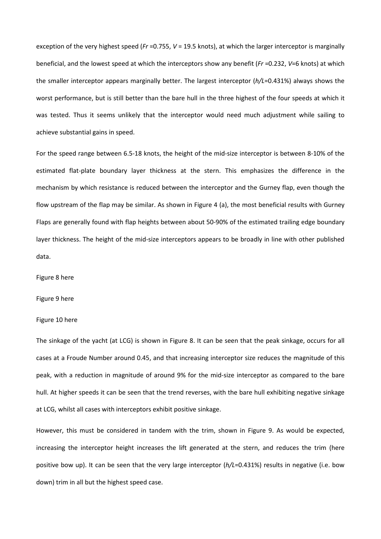exception of the very highest speed (*Fr* =0.755, *V* = 19.5 knots), at which the larger interceptor is marginally beneficial, and the lowest speed at which the interceptors show any benefit (*Fr* =0.232, *V*=6 knots) at which the smaller interceptor appears marginally better. The largest interceptor (*h/L*=0.431%) always shows the worst performance, but is still better than the bare hull in the three highest of the four speeds at which it was tested. Thus it seems unlikely that the interceptor would need much adjustment while sailing to achieve substantial gains in speed.

For the speed range between 6.5-18 knots, the height of the mid-size interceptor is between 8-10% of the estimated flat-plate boundary layer thickness at the stern. This emphasizes the difference in the mechanism by which resistance is reduced between the interceptor and the Gurney flap, even though the flow upstream of the flap may be similar. As shown in [Figure 4](#page-24-0) (a), the most beneficial results with Gurney Flaps are generally found with flap heights between about 50-90% of the estimated trailing edge boundary layer thickness. The height of the mid-size interceptors appears to be broadly in line with other published data.

## Figure 8 here

## Figure 9 here

#### Figure 10 here

The sinkage of the yacht (at LCG) is shown in [Figure 8.](#page-28-0) It can be seen that the peak sinkage, occurs for all cases at a Froude Number around 0.45, and that increasing interceptor size reduces the magnitude of this peak, with a reduction in magnitude of around 9% for the mid-size interceptor as compared to the bare hull. At higher speeds it can be seen that the trend reverses, with the bare hull exhibiting negative sinkage at LCG, whilst all cases with interceptors exhibit positive sinkage.

However, this must be considered in tandem with the trim, shown in [Figure 9.](#page-29-0) As would be expected, increasing the interceptor height increases the lift generated at the stern, and reduces the trim (here positive bow up). It can be seen that the very large interceptor (*h/L*=0.431%) results in negative (i.e. bow down) trim in all but the highest speed case.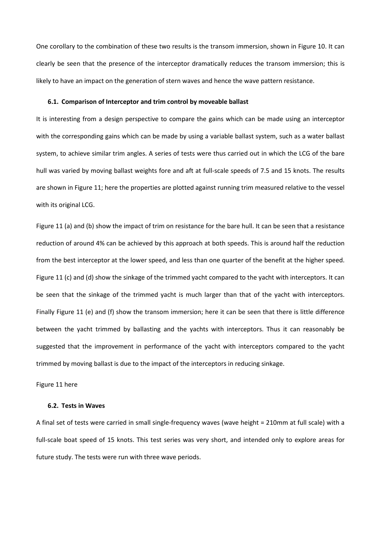One corollary to the combination of these two results is the transom immersion, shown in [Figure 10.](#page-30-0) It can clearly be seen that the presence of the interceptor dramatically reduces the transom immersion; this is likely to have an impact on the generation of stern waves and hence the wave pattern resistance.

#### **6.1. Comparison of Interceptor and trim control by moveable ballast**

It is interesting from a design perspective to compare the gains which can be made using an interceptor with the corresponding gains which can be made by using a variable ballast system, such as a water ballast system, to achieve similar trim angles. A series of tests were thus carried out in which the LCG of the bare hull was varied by moving ballast weights fore and aft at full-scale speeds of 7.5 and 15 knots. The results are shown i[n Figure 11;](#page-31-0) here the properties are plotted against running trim measured relative to the vessel with its original LCG.

[Figure 11](#page-31-0) (a) and (b) show the impact of trim on resistance for the bare hull. It can be seen that a resistance reduction of around 4% can be achieved by this approach at both speeds. This is around half the reduction from the best interceptor at the lower speed, and less than one quarter of the benefit at the higher speed. [Figure 11](#page-31-0) (c) and (d) show the sinkage of the trimmed yacht compared to the yacht with interceptors. It can be seen that the sinkage of the trimmed yacht is much larger than that of the yacht with interceptors. Finally [Figure 11](#page-31-0) (e) and (f) show the transom immersion; here it can be seen that there is little difference between the yacht trimmed by ballasting and the yachts with interceptors. Thus it can reasonably be suggested that the improvement in performance of the yacht with interceptors compared to the yacht trimmed by moving ballast is due to the impact of the interceptors in reducing sinkage.

Figure 11 here

## **6.2. Tests in Waves**

A final set of tests were carried in small single-frequency waves (wave height = 210mm at full scale) with a full-scale boat speed of 15 knots. This test series was very short, and intended only to explore areas for future study. The tests were run with three wave periods.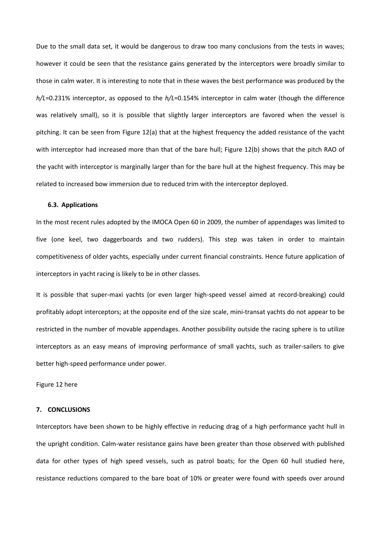Due to the small data set, it would be dangerous to draw too many conclusions from the tests in waves; however it could be seen that the resistance gains generated by the interceptors were broadly similar to those in calm water. It is interesting to note that in these waves the best performance was produced by the *h/L*=0.231% interceptor, as opposed to the *h/L*=0.154% interceptor in calm water (though the difference was relatively small), so it is possible that slightly larger interceptors are favored when the vessel is pitching. It can be seen from [Figure 12\(](#page-32-0)a) that at the highest frequency the added resistance of the yacht with interceptor had increased more than that of the bare hull; [Figure 12\(](#page-32-0)b) shows that the pitch RAO of the yacht with interceptor is marginally larger than for the bare hull at the highest frequency. This may be related to increased bow immersion due to reduced trim with the interceptor deployed.

## **6.3. Applications**

In the most recent rules adopted by the IMOCA Open 60 in 2009, the number of appendages was limited to five (one keel, two daggerboards and two rudders). This step was taken in order to maintain competitiveness of older yachts, especially under current financial constraints. Hence future application of interceptors in yacht racing is likely to be in other classes.

It is possible that super-maxi yachts (or even larger high-speed vessel aimed at record-breaking) could profitably adopt interceptors; at the opposite end of the size scale, mini-transat yachts do not appear to be restricted in the number of movable appendages. Another possibility outside the racing sphere is to utilize interceptors as an easy means of improving performance of small yachts, such as trailer-sailers to give better high-speed performance under power.

Figure 12 here

## **7. CONCLUSIONS**

Interceptors have been shown to be highly effective in reducing drag of a high performance yacht hull in the upright condition. Calm-water resistance gains have been greater than those observed with published data for other types of high speed vessels, such as patrol boats; for the Open 60 hull studied here, resistance reductions compared to the bare boat of 10% or greater were found with speeds over around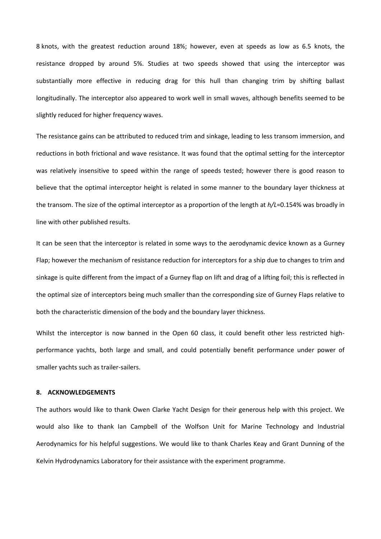8 knots, with the greatest reduction around 18%; however, even at speeds as low as 6.5 knots, the resistance dropped by around 5%. Studies at two speeds showed that using the interceptor was substantially more effective in reducing drag for this hull than changing trim by shifting ballast longitudinally. The interceptor also appeared to work well in small waves, although benefits seemed to be slightly reduced for higher frequency waves.

The resistance gains can be attributed to reduced trim and sinkage, leading to less transom immersion, and reductions in both frictional and wave resistance. It was found that the optimal setting for the interceptor was relatively insensitive to speed within the range of speeds tested; however there is good reason to believe that the optimal interceptor height is related in some manner to the boundary layer thickness at the transom. The size of the optimal interceptor as a proportion of the length at *h/L*=0.154% was broadly in line with other published results.

It can be seen that the interceptor is related in some ways to the aerodynamic device known as a Gurney Flap; however the mechanism of resistance reduction for interceptors for a ship due to changes to trim and sinkage is quite different from the impact of a Gurney flap on lift and drag of a lifting foil; this is reflected in the optimal size of interceptors being much smaller than the corresponding size of Gurney Flaps relative to both the characteristic dimension of the body and the boundary layer thickness.

Whilst the interceptor is now banned in the Open 60 class, it could benefit other less restricted highperformance yachts, both large and small, and could potentially benefit performance under power of smaller yachts such as trailer-sailers.

#### **8. ACKNOWLEDGEMENTS**

The authors would like to thank Owen Clarke Yacht Design for their generous help with this project. We would also like to thank Ian Campbell of the Wolfson Unit for Marine Technology and Industrial Aerodynamics for his helpful suggestions. We would like to thank Charles Keay and Grant Dunning of the Kelvin Hydrodynamics Laboratory for their assistance with the experiment programme.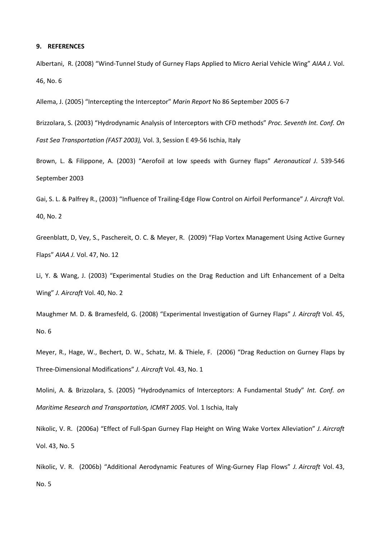## **9. REFERENCES**

Albertani, R. (2008) "Wind-Tunnel Study of Gurney Flaps Applied to Micro Aerial Vehicle Wing" *AIAA J.* Vol. 46, No. 6

Allema, J. (2005) "Intercepting the Interceptor" *Marin Report* No 86 September 2005 6-7

Brizzolara, S. (2003) "Hydrodynamic Analysis of Interceptors with CFD methods" *Proc. Seventh Int. Conf. On Fast Sea Transportation (FAST 2003),* Vol. 3, Session E 49-56 Ischia, Italy

Brown, L. & Filippone, A. (2003) "Aerofoil at low speeds with Gurney flaps" *Aeronautical J*. 539-546 September 2003

Gai, S. L. & Palfrey R., (2003) "Influence of Trailing-Edge Flow Control on Airfoil Performance" *J. Aircraft* Vol. 40, No. 2

Greenblatt, D, Vey, S., Paschereit, O. C. & Meyer, R. (2009) "Flap Vortex Management Using Active Gurney Flaps" *AIAA J.* Vol. 47, No. 12

Li, Y. & Wang, J. (2003) "Experimental Studies on the Drag Reduction and Lift Enhancement of a Delta Wing" *J. Aircraft* Vol. 40, No. 2

Maughmer M. D. & Bramesfeld, G. (2008) "Experimental Investigation of Gurney Flaps" *J. Aircraft* Vol. 45, No. 6

Meyer, R., Hage, W., Bechert, D. W., Schatz, M. & Thiele, F. (2006) "Drag Reduction on Gurney Flaps by Three-Dimensional Modifications" *J. Aircraft* Vol. 43, No. 1

Molini, A. & Brizzolara, S. (2005) "Hydrodynamics of Interceptors: A Fundamental Study" *Int. Conf. on Maritime Research and Transportation, ICMRT 2005.* Vol. 1 Ischia, Italy

Nikolic, V. R. (2006a) "Effect of Full-Span Gurney Flap Height on Wing Wake Vortex Alleviation" *J. Aircraft* Vol. 43, No. 5

Nikolic, V. R. (2006b) "Additional Aerodynamic Features of Wing-Gurney Flap Flows" *J. Aircraft* Vol. 43, No. 5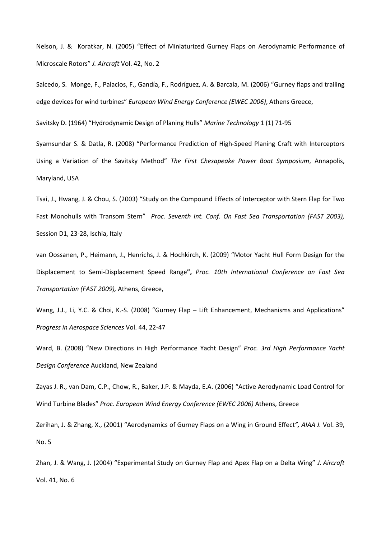Nelson, J. & Koratkar, N. (2005) "Effect of Miniaturized Gurney Flaps on Aerodynamic Performance of Microscale Rotors" *J. Aircraft* Vol. 42, No. 2

Salcedo, S. Monge, F., Palacios, F., Gandía, F., Rodríguez, A. & Barcala, M. (2006) "Gurney flaps and trailing edge devices for wind turbines" *European Wind Energy Conference (EWEC 2006)*, Athens Greece,

Savitsky D. (1964) "Hydrodynamic Design of Planing Hulls" *Marine Technology* 1 (1) 71-95

Syamsundar S. & Datla, R. (2008) "Performance Prediction of High-Speed Planing Craft with Interceptors Using a Variation of the Savitsky Method" *The First Chesapeake Power Boat Symposium*, Annapolis, Maryland, USA

Tsai, J., Hwang, J. & Chou, S. (2003) "Study on the Compound Effects of Interceptor with Stern Flap for Two Fast Monohulls with Transom Stern" *Proc. Seventh Int. Conf. On Fast Sea Transportation (FAST 2003),* Session D1, 23-28, Ischia, Italy

van Oossanen, P., Heimann, J., Henrichs, J. & Hochkirch, K. (2009) "Motor Yacht Hull Form Design for the Displacement to Semi-Displacement Speed Range**",** *Proc. 10th International Conference on Fast Sea Transportation (FAST 2009),* Athens, Greece,

Wang, J.J., Li, Y.C. & Choi, K.-S. (2008) "Gurney Flap – Lift Enhancement, Mechanisms and Applications" *Progress in Aerospace Sciences* Vol. 44, 22-47

Ward, B. (2008) "New Directions in High Performance Yacht Design" *Proc. 3rd High Performance Yacht Design Conference* Auckland, New Zealand

Zayas J. R., van Dam, C.P., Chow, R., Baker, J.P. & Mayda, E.A. (2006) "Active Aerodynamic Load Control for Wind Turbine Blades" *Proc. European Wind Energy Conference (EWEC 2006)* Athens, Greece

Zerihan, J. & Zhang, X., (2001) "Aerodynamics of Gurney Flaps on a Wing in Ground Effect*", AIAA J.* Vol. 39, No. 5

Zhan, J. & Wang, J. (2004) "Experimental Study on Gurney Flap and Apex Flap on a Delta Wing" *J. Aircraft* Vol. 41, No. 6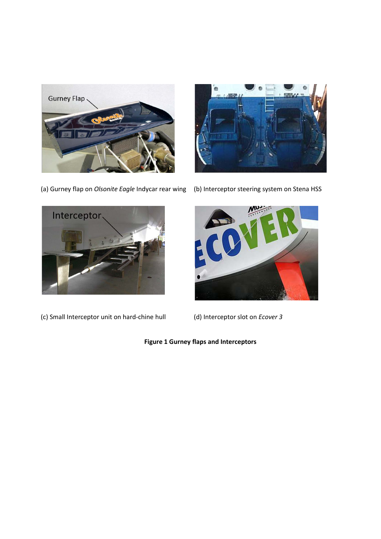



(a) Gurney flap on *Olsonite Eagle* Indycar rear wing (b) Interceptor steering system on Stena HSS



<span id="page-21-0"></span>(c) Small Interceptor unit on hard-chine hull (d) Interceptor slot on *Ecover 3*



- 
- **Figure 1 Gurney flaps and Interceptors**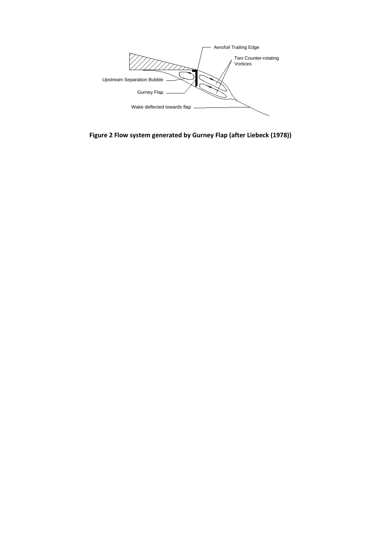

<span id="page-22-0"></span>**Figure 2 Flow system generated by Gurney Flap (after Liebeck (1978))**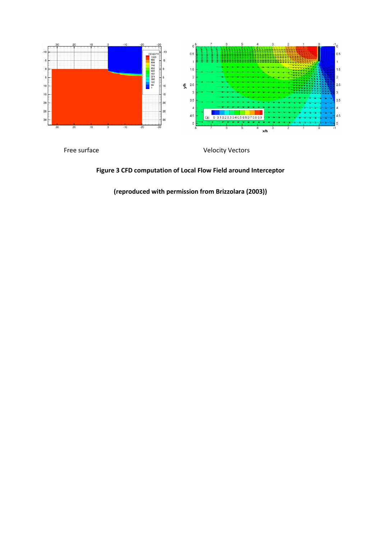

<span id="page-23-0"></span>

Free surface The Contract of the Velocity Vectors

**Figure 3 CFD computation of Local Flow Field around Interceptor**

**(reproduced with permission from Brizzolara (2003))**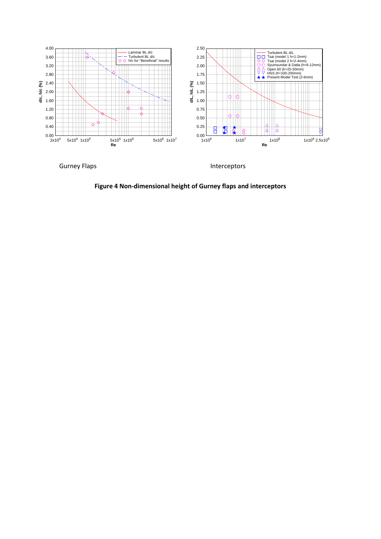

<span id="page-24-0"></span>Gurney Flaps **Interceptors** 

**Figure 4 Non-dimensional height of Gurney flaps and interceptors**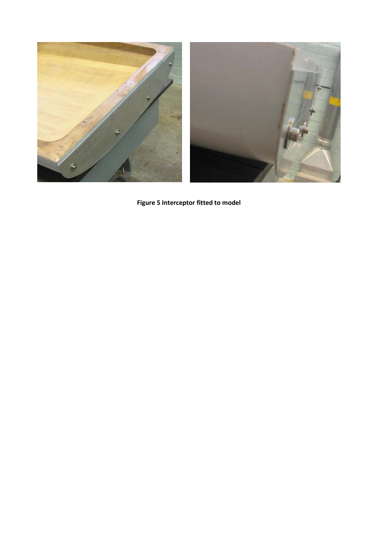<span id="page-25-0"></span>

**Figure 5 Interceptor fitted to model**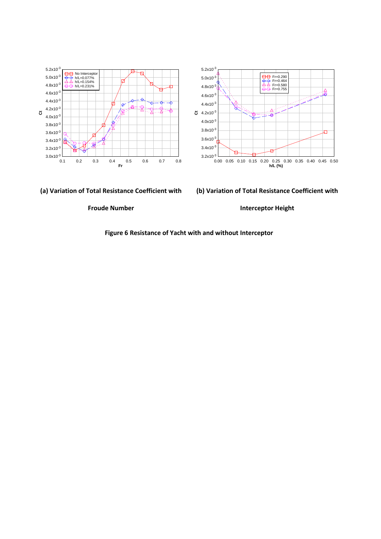



<span id="page-26-0"></span>**(a) Variation of Total Resistance Coefficient with** 

**Froude Number**



**Interceptor Height**

**Figure 6 Resistance of Yacht with and without Interceptor**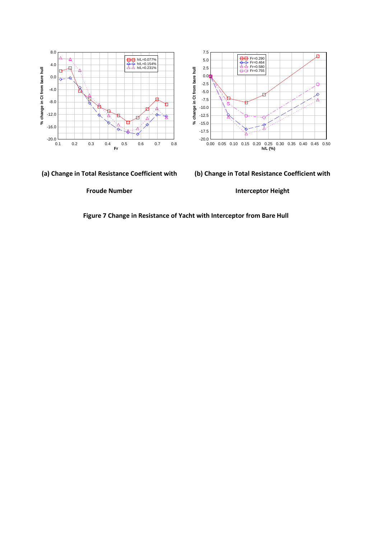

<span id="page-27-0"></span>

**Froude Number**



**(b) Change in Total Resistance Coefficient with** 

**Interceptor Height**

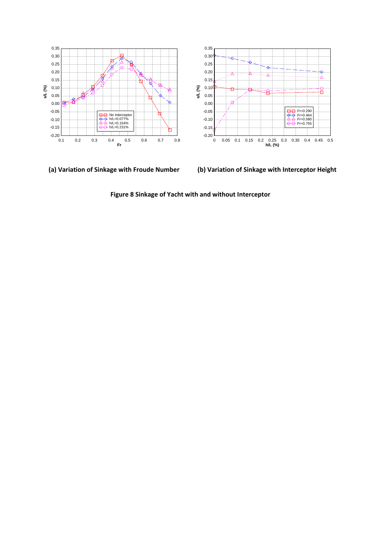

<span id="page-28-0"></span>



**(a) Variation of Sinkage with Froude Number (b) Variation of Sinkage with Interceptor Height**

**Figure 8 Sinkage of Yacht with and without Interceptor**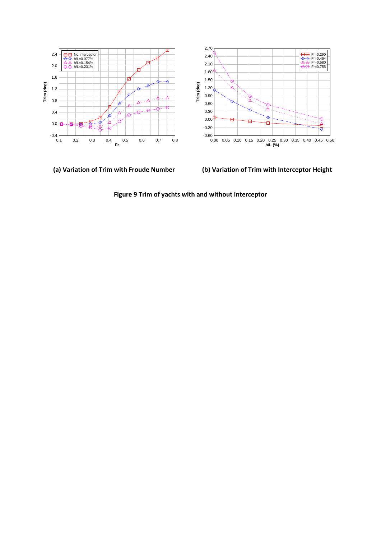

<span id="page-29-0"></span>

**(a) Variation of Trim with Froude Number (b) Variation of Trim with Interceptor Height**

**Figure 9 Trim of yachts with and without interceptor**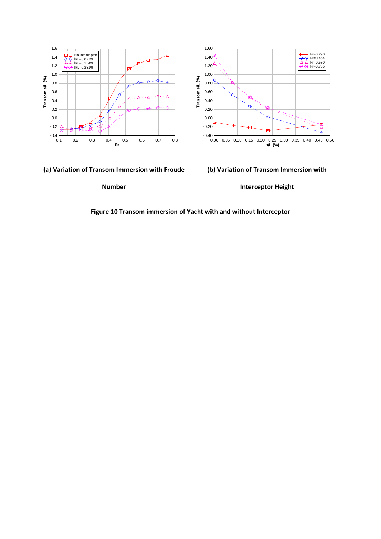



## <span id="page-30-0"></span>**(a) Variation of Transom Immersion with Froude**

**Number**

**(b) Variation of Transom Immersion with** 

**Interceptor Height**

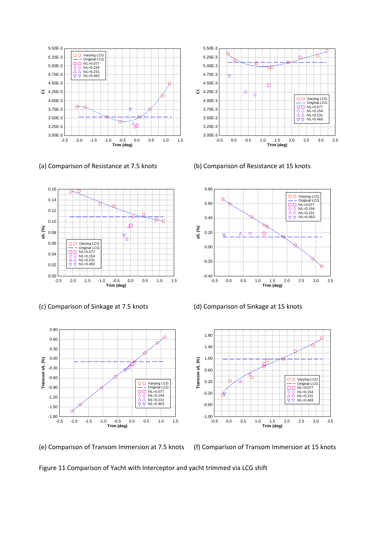







<span id="page-31-0"></span>Figure 11 Comparison of Yacht with Interceptor and yacht trimmed via LCG shift





(c) Comparison of Sinkage at 7.5 knots (d) Comparison of Sinkage at 15 knots



(a) Comparison of Resistance at 7.5 knots (b) Comparison of Resistance at 15 knots